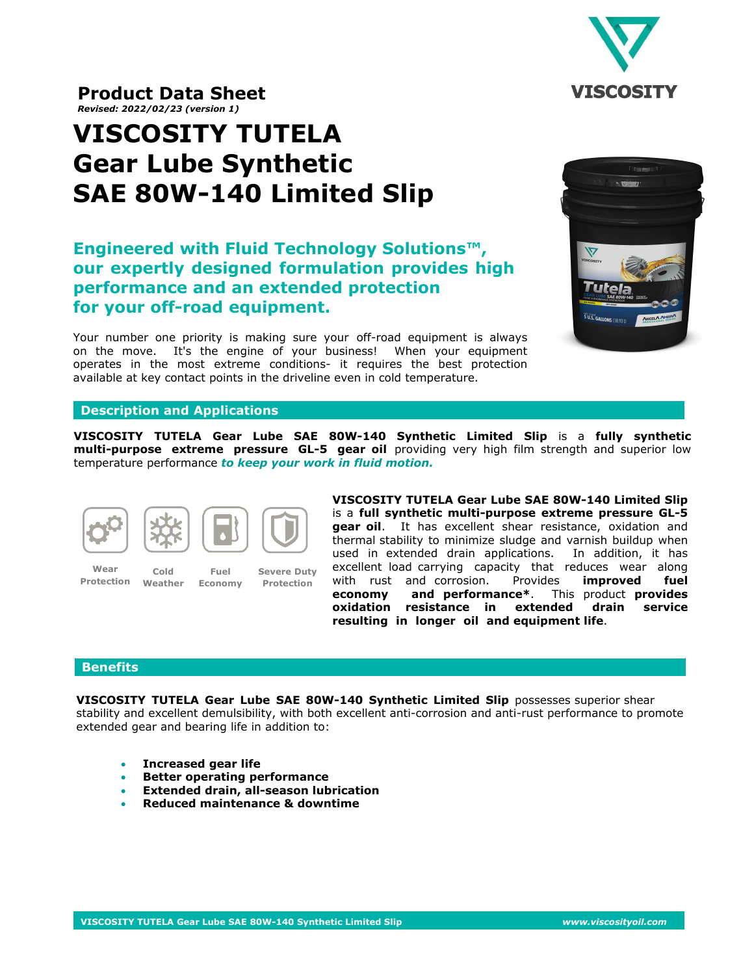

**Product Data Sheet**  *Revised: 2022/02/23 (version 1)*

# **VISCOSITY TUTELA Gear Lube Synthetic SAE 80W-140 Limited Slip**

# **Engineered with Fluid Technology Solutions™, our expertly designed formulation provides high performance and an extended protection for your off-road equipment.**

Your number one priority is making sure your off-road equipment is always on the move. It's the engine of your business! When your equipment operates in the most extreme conditions- it requires the best protection available at key contact points in the driveline even in cold temperature.



## **Description and Applications**

**VISCOSITY TUTELA Gear Lube SAE 80W-140 Synthetic Limited Slip** is a **fully synthetic multi-purpose extreme pressure GL-5 gear oil** providing very high film strength and superior low temperature performance *to keep your work in fluid motion.*



**Cold Weather**

**Wear Protection**

**Fuel Economy**

**Severe Duty Protection**

**VISCOSITY TUTELA Gear Lube SAE 80W-140 Limited Slip** is a **full synthetic multi-purpose extreme pressure GL-5 gear oil**. It has excellent shear resistance, oxidation and thermal stability to minimize sludge and varnish buildup when used in extended drain applications. In addition, it has excellent load carrying capacity that reduces wear along with rust and corrosion. Provides **improved fuel economy and performance\***. This product **provides oxidation resistance in extended drain service resulting in longer oil and equipment life**.

## **Benefits**

**VISCOSITY TUTELA Gear Lube SAE 80W-140 Synthetic Limited Slip** possesses superior shear stability and excellent demulsibility, with both excellent anti-corrosion and anti-rust performance to promote extended gear and bearing life in addition to:

- **Increased gear life**
- **Better operating performance**
- **Extended drain, all-season lubrication**
- **Reduced maintenance & downtime**